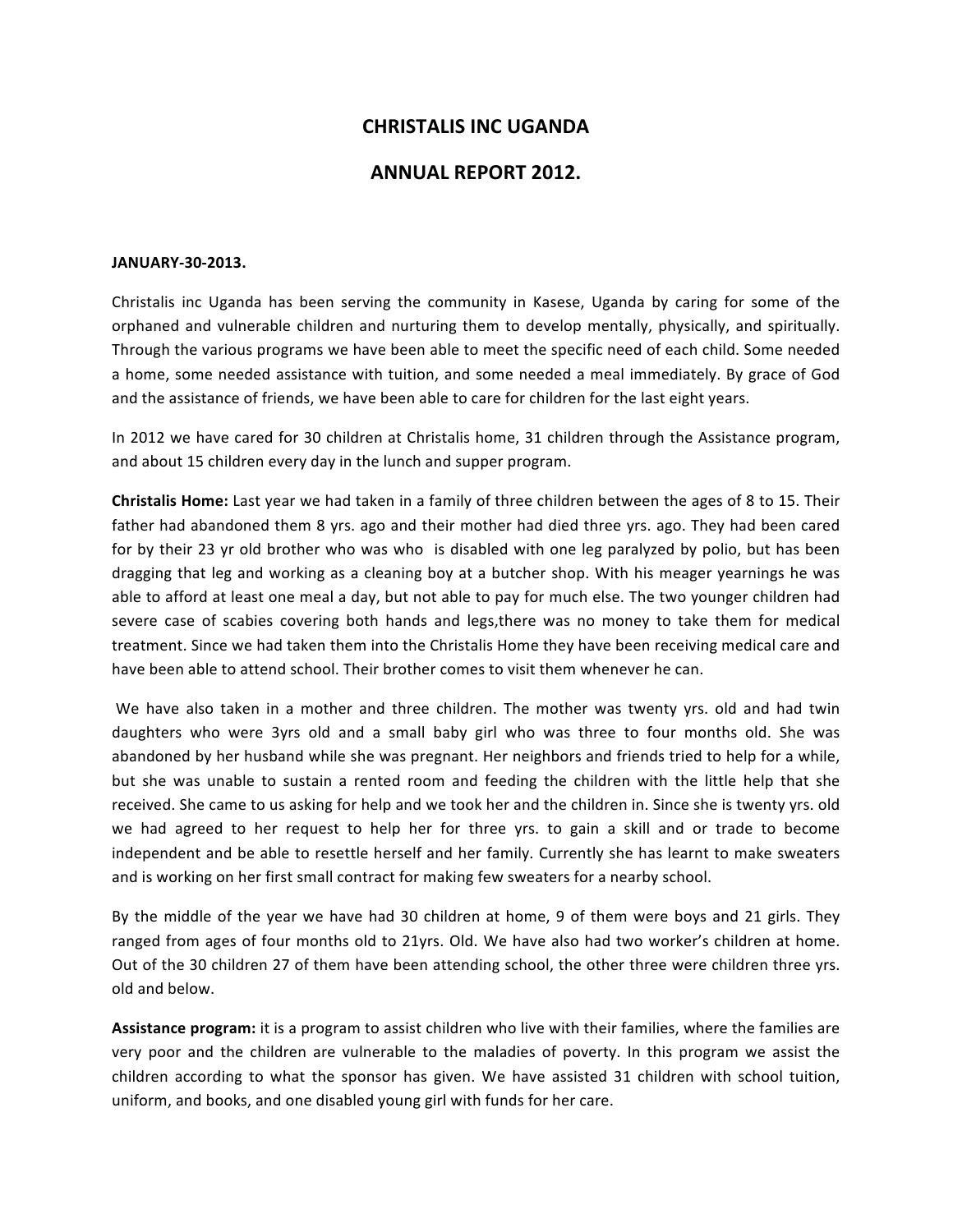## **CHRISTALIS INC UGANDA**

## **ANNUAL REPORT 2012.**

## **JANUARY-30-2013.**

Christalis inc Uganda has been serving the community in Kasese, Uganda by caring for some of the orphaned and vulnerable children and nurturing them to develop mentally, physically, and spiritually. Through the various programs we have been able to meet the specific need of each child. Some needed a home, some needed assistance with tuition, and some needed a meal immediately. By grace of God and the assistance of friends, we have been able to care for children for the last eight years.

In 2012 we have cared for 30 children at Christalis home, 31 children through the Assistance program, and about 15 children every day in the lunch and supper program.

**Christalis Home:** Last year we had taken in a family of three children between the ages of 8 to 15. Their father had abandoned them 8 yrs. ago and their mother had died three yrs. ago. They had been cared for by their 23 yr old brother who was who is disabled with one leg paralyzed by polio, but has been dragging that leg and working as a cleaning boy at a butcher shop. With his meager yearnings he was able to afford at least one meal a day, but not able to pay for much else. The two younger children had severe case of scabies covering both hands and legs,there was no money to take them for medical treatment. Since we had taken them into the Christalis Home they have been receiving medical care and have been able to attend school. Their brother comes to visit them whenever he can.

We have also taken in a mother and three children. The mother was twenty yrs. old and had twin daughters who were 3yrs old and a small baby girl who was three to four months old. She was abandoned by her husband while she was pregnant. Her neighbors and friends tried to help for a while, but she was unable to sustain a rented room and feeding the children with the little help that she received. She came to us asking for help and we took her and the children in. Since she is twenty yrs. old we had agreed to her request to help her for three yrs. to gain a skill and or trade to become independent and be able to resettle herself and her family. Currently she has learnt to make sweaters and is working on her first small contract for making few sweaters for a nearby school.

By the middle of the year we have had 30 children at home, 9 of them were boys and 21 girls. They ranged from ages of four months old to 21yrs. Old. We have also had two worker's children at home. Out of the 30 children 27 of them have been attending school, the other three were children three yrs. old and below.

Assistance program: it is a program to assist children who live with their families, where the families are very poor and the children are vulnerable to the maladies of poverty. In this program we assist the children according to what the sponsor has given. We have assisted 31 children with school tuition, uniform, and books, and one disabled young girl with funds for her care.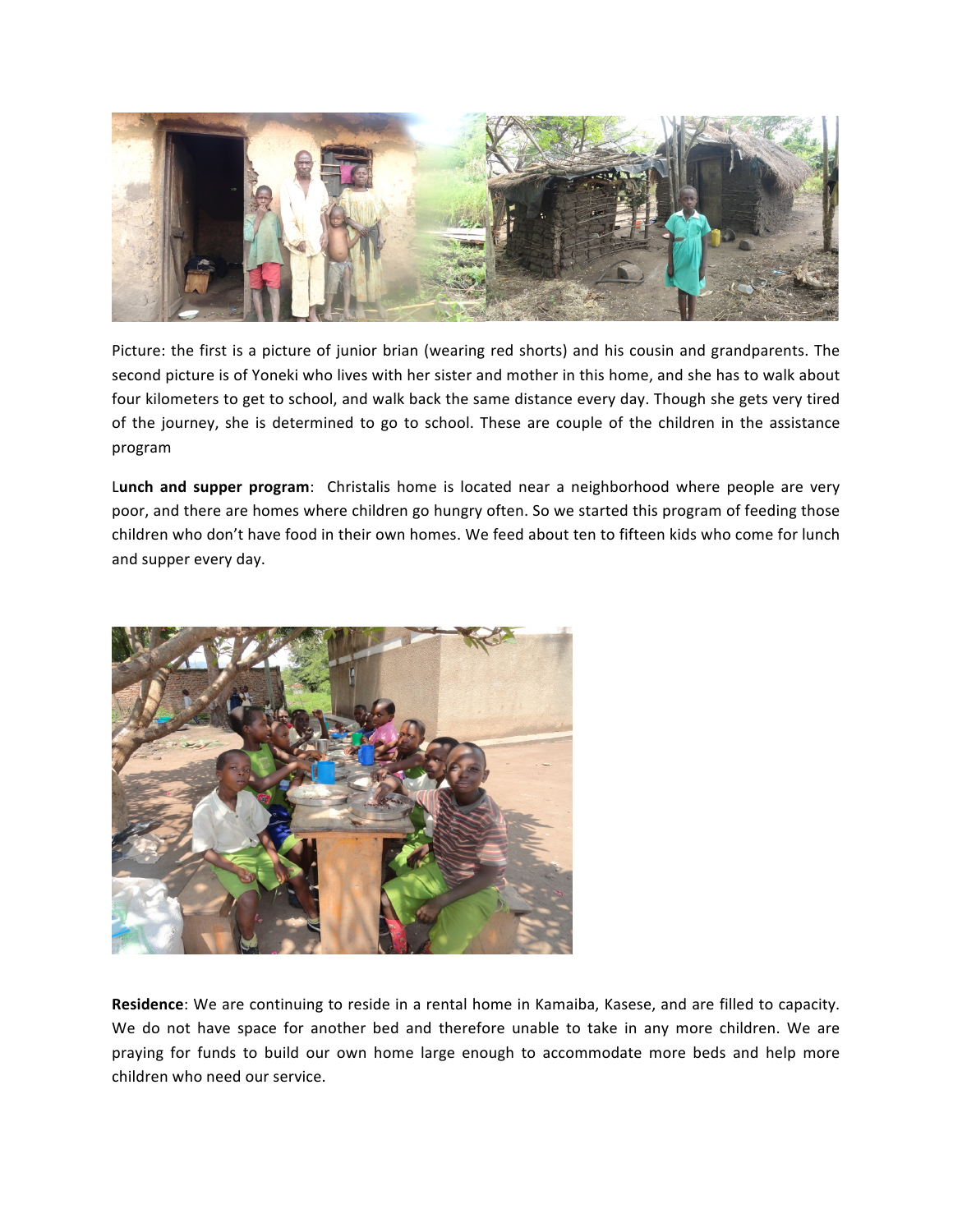

Picture: the first is a picture of junior brian (wearing red shorts) and his cousin and grandparents. The second picture is of Yoneki who lives with her sister and mother in this home, and she has to walk about four kilometers to get to school, and walk back the same distance every day. Though she gets very tired of the journey, she is determined to go to school. These are couple of the children in the assistance program

Lunch and supper program: Christalis home is located near a neighborhood where people are very poor, and there are homes where children go hungry often. So we started this program of feeding those children who don't have food in their own homes. We feed about ten to fifteen kids who come for lunch and supper every day.



**Residence**: We are continuing to reside in a rental home in Kamaiba, Kasese, and are filled to capacity. We do not have space for another bed and therefore unable to take in any more children. We are praying for funds to build our own home large enough to accommodate more beds and help more children who need our service.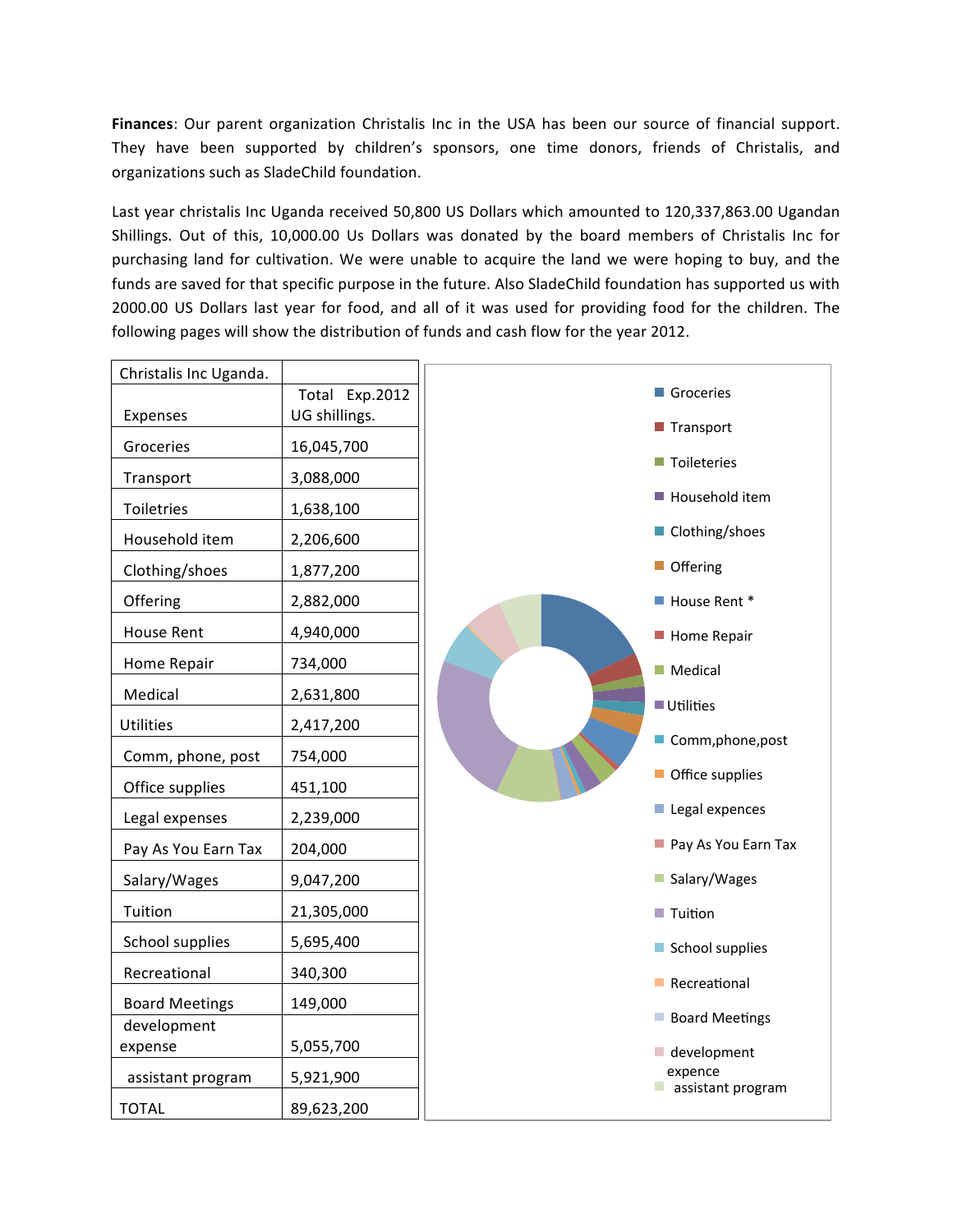Finances: Our parent organization Christalis Inc in the USA has been our source of financial support. They have been supported by children's sponsors, one time donors, friends of Christalis, and organizations such as SladeChild foundation.

Last year christalis Inc Uganda received 50,800 US Dollars which amounted to 120,337,863.00 Ugandan Shillings. Out of this, 10,000.00 Us Dollars was donated by the board members of Christalis Inc for purchasing land for cultivation. We were unable to acquire the land we were hoping to buy, and the funds are saved for that specific purpose in the future. Also SladeChild foundation has supported us with 2000.00 US Dollars last year for food, and all of it was used for providing food for the children. The following pages will show the distribution of funds and cash flow for the year 2012.